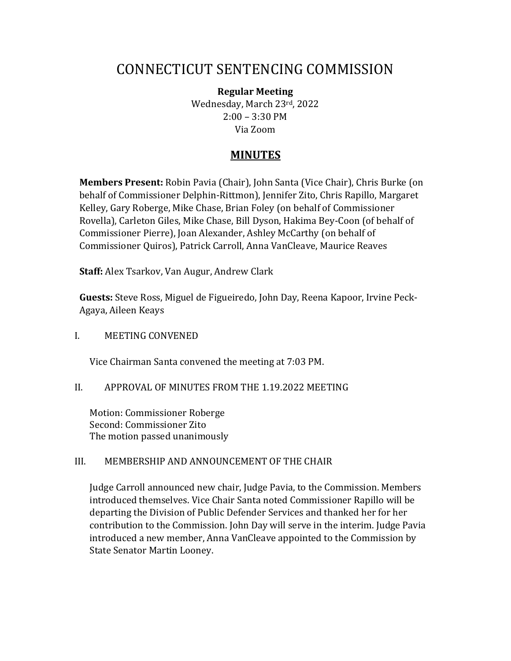# CONNECTICUT SENTENCING COMMISSION

**Regular Meeting**  Wednesday, March 23rd, 2022 2:00 – 3:30 PM Via Zoom

# **MINUTES**

**Members Present:** Robin Pavia (Chair), John Santa (Vice Chair), Chris Burke (on behalf of Commissioner Delphin-Rittmon), Jennifer Zito, Chris Rapillo, Margaret Kelley, Gary Roberge, Mike Chase, Brian Foley (on behalf of Commissioner Rovella), Carleton Giles, Mike Chase, Bill Dyson, Hakima Bey-Coon (of behalf of Commissioner Pierre), Joan Alexander, Ashley McCarthy (on behalf of Commissioner Quiros), Patrick Carroll, Anna VanCleave, Maurice Reaves

**Staff:** Alex Tsarkov, Van Augur, Andrew Clark

**Guests:** Steve Ross, Miguel de Figueiredo, John Day, Reena Kapoor, Irvine Peck-Agaya, Aileen Keays

I. MEETING CONVENED

Vice Chairman Santa convened the meeting at 7:03 PM.

## II. APPROVAL OF MINUTES FROM THE 1.19.2022 MEETING

Motion: Commissioner Roberge Second: Commissioner Zito The motion passed unanimously

## III. MEMBERSHIP AND ANNOUNCEMENT OF THE CHAIR

Judge Carroll announced new chair, Judge Pavia, to the Commission. Members introduced themselves. Vice Chair Santa noted Commissioner Rapillo will be departing the Division of Public Defender Services and thanked her for her contribution to the Commission. John Day will serve in the interim. Judge Pavia introduced a new member, Anna VanCleave appointed to the Commission by State Senator Martin Looney.